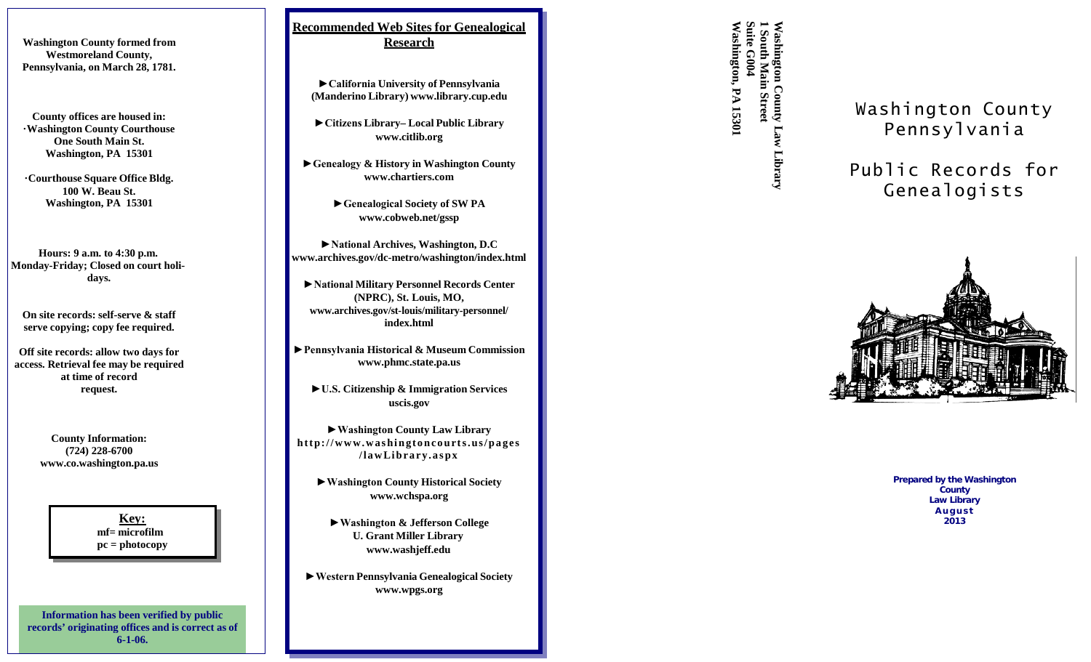**Washington County formed from Westmoreland County, Pennsylvania, on March 28, 1781.**

**County offices are housed in: ·Washington County Courthouse One South Main St. Washington, PA 15301**

**·Courthouse Square Office Bldg. 100 W. Beau St. Washington, PA 15301**

**Hours: 9 a.m. to 4:30 p.m. Monday -Friday; Closed on court holi days.**

**On site records: self-serve & staff serve copying; copy fee required.**

**Off site records: allow two days for access. Retrieval fee ma y be required at time of record request.**

> **County Information: (724) 228 -6700 [www.co.washington.pa.us](http://www.co.washington.pa.us/)**

> > **Key: mf= microfilm pc = photocopy**

**Information has been verified by public records' originating offices and is correct as of 6-1-06.**

**Recommended Web Sites for Genealogical Research**

**►California University of Pennsylvania (Manderino Library) [www.library.cup.edu](http://www.library.cup.edu/)**

**►Citizens Library – Local Public Library [www.citlib.org](http://www.citlib.org/)**

**►Genealogy & History in Washington County [www.chartiers.com](http://www.chartiers.com/)**

> **►Genealogical Society of SW P[A](http://www.cobweb.net/gssp) [www.cobweb.net/gssp](http://www.cobweb.net/gssp)**

**►National Archives, Washington, D.[C](http://www.archives.gov/dc-metro/washington/index.html) www.archives.gov/dc [-metro/washington/index.html](http://www.archives.gov/dc-metro/washington/index.html)**

**►National Military Personnel Records Center (NPRC), St. Louis, MO, [www.archives.gov/st](http://www.archives.gov/st-louis/military-personnel/) -louis/military -personnel/ index.html**

**►Pennsylvania Historical & Museum Commission [www.phmc.state.pa.us](http://www.phmc.state.pa.us/)**

**►U.S. Citizenship & Immigration Services uscis.gov**

**►Washington County Law Library http://www.washingtoncourts.us/pages /lawLibrary.aspx**

**►Washington County Historical Society [www.wchspa.org](http://www.wchspa.org/)**

**►Washington & Jefferson College U. Grant Mille r Library [www.washjeff.edu](http://www.washjeff.edu/)**

**►Western Pennsylvania Genealogical Society [www.wpgs.org](http://www.wpgs.org/)**

**Washington, Suite 1 Washington County South** shington **G004 Main PA 15301 PA 15301 Street Law Library**

Washingto n County Pennsylvania

Publi c Record s for Genealogists



**Prepared by the Washington County Law Library August 2013**